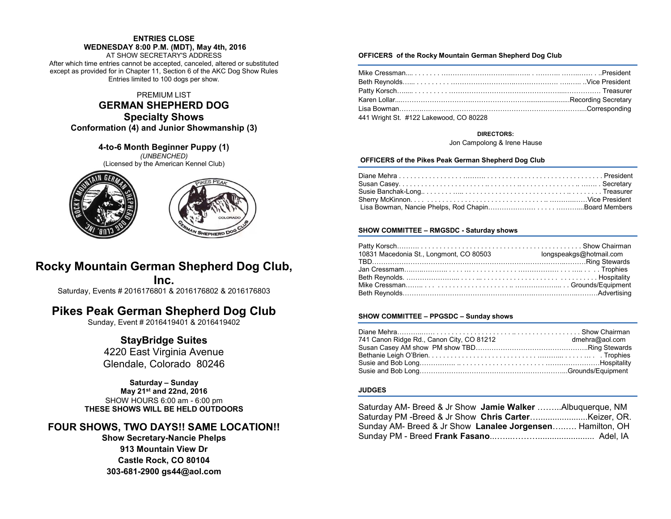### **ENTRIES CLOSE**

**WEDNESDAY 8:00 P.M. (MDT), May 4th, 2016**

AT SHOW SECRETARY'S ADDRESS After which time entries cannot be accepted, canceled, altered or substituted except as provided for in Chapter 11, Section 6 of the AKC Dog Show Rules Entries limited to 100 dogs per show.

### PREMIUM LIST

### **GERMAN SHEPHERD DOG Specialty Shows Conformation (4) and Junior Showmanship (3)**

**4-to-6 Month Beginner Puppy (1)** *(UNBENCHED)* (Licensed by the American Kennel Club)





# **Rocky Mountain German Shepherd Dog Club,**

**Inc.**

Saturday, Events # 2016176801 & 2016176802 & 2016176803

# **Pikes Peak German Shepherd Dog Club**

Sunday, Event # 2016419401 & 2016419402

# **StayBridge Suites**

4220 East Virginia Avenue Glendale, Colorado 80246

### **Saturday – Sunday May 21st and 22nd, 2016** SHOW HOURS 6:00 am - 6:00 pm **THESE SHOWS WILL BE HELD OUTDOORS**

# **FOUR SHOWS, TWO DAYS!! SAME LOCATION!!**

**Show Secretary-Nancie Phelps 913 Mountain View Dr Castle Rock, CO 80104 303-681-2900 gs44@aol.com**

### **OFFICERS of the Rocky Mountain German Shepherd Dog Club**

| 441 Wright St. #122 Lakewood, CO 80228 |  |
|----------------------------------------|--|

#### **DIRECTORS:**

Jon Campolong & Irene Hause

#### **OFFICERS of the Pikes Peak German Shepherd Dog Club**

### **SHOW COMMITTEE – RMGSDC - Saturday shows**

| 10831 Macedonia St., Longmont, CO 80503 | longspeakgs@hotmail.com |
|-----------------------------------------|-------------------------|
|                                         |                         |
|                                         |                         |
|                                         |                         |
|                                         |                         |
|                                         |                         |

### **SHOW COMMITTEE – PPGSDC – Sunday shows**

| 741 Canon Ridge Rd., Canon City, CO 81212 | dmehra@aol.com |
|-------------------------------------------|----------------|
|                                           |                |
|                                           |                |
|                                           |                |
|                                           |                |

### **JUDGES**

| Saturday AM- Breed & Jr Show Jamie Walker Albuquerque, NM |  |
|-----------------------------------------------------------|--|
|                                                           |  |
| Sunday AM- Breed & Jr Show Lanalee Jorgensen Hamilton, OH |  |
|                                                           |  |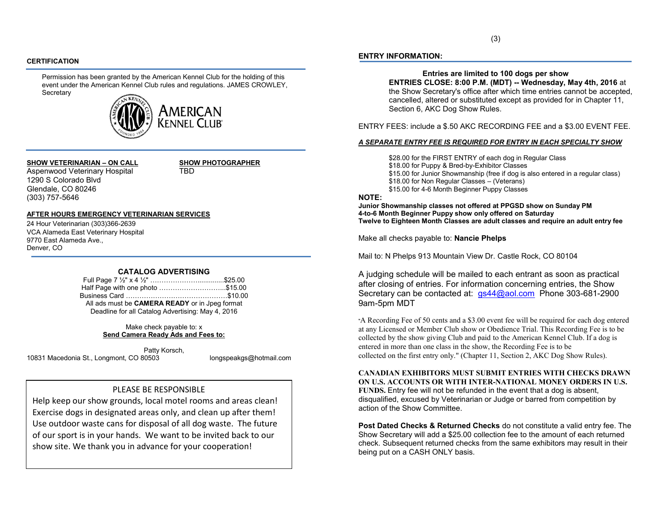### **CERTIFICATION**

Permission has been granted by the American Kennel Club for the holding of this event under the American Kennel Club rules and regulations. JAMES CROWLEY, **Secretary** 



### **SHOW VETERINARIAN – ON CALL SHOW PHOTOGRAPHER** Aspenwood Veterinary Hospital TBD

1290 S Colorado Blvd Glendale, CO 80246 (303) 757-5646

#### **AFTER HOURS EMERGENCY VETERINARIAN SERVICES**

24 Hour Veterinarian (303)366-2639 VCA Alameda East Veterinary Hospital 9770 East Alameda Ave., Denver, CO

### **CATALOG ADVERTISING**

Full Page 7 ½" x 4 ½" …………………..............\$25.00 Half Page with one photo ………………………...\$15.00 Business Card ………………………………………\$10.00 All ads must be **CAMERA READY** or in Jpeg format Deadline for all Catalog Advertising: May 4, 2016

> Make check payable to: x **Send Camera Ready Ads and Fees to:**

Patty Korsch, 10831 Macedonia St., Longmont, CO 80503 longspeakgs@hotmail.com

### PLEASE BE RESPONSIBLE

Help keep our show grounds, local motel rooms and areas clean! Exercise dogs in designated areas only, and clean up after them! Use outdoor waste cans for disposal of all dog waste. The future of our sport is in your hands. We want to be invited back to our show site. We thank you in advance for your cooperation!

### **ENTRY INFORMATION:**

**Entries are limited to 100 dogs per show**

**ENTRIES CLOSE: 8:00 P.M. (MDT) -- Wednesday, May 4th, 2016** at the Show Secretary's office after which time entries cannot be accepted, cancelled, altered or substituted except as provided for in Chapter 11, Section 6, AKC Dog Show Rules.

ENTRY FEES: include a \$.50 AKC RECORDING FEE and a \$3.00 EVENT FEE.

#### *A SEPARATE ENTRY FEE IS REQUIRED FOR ENTRY IN EACH SPECIALTY SHOW*

\$28.00 for the FIRST ENTRY of each dog in Regular Class \$18.00 for Puppy & Bred-by-Exhibitor Classes \$15.00 for Junior Showmanship (free if dog is also entered in a regular class) \$18.00 for Non Regular Classes – (Veterans) \$15.00 for 4-6 Month Beginner Puppy Classes

### **NOTE:**

**Junior Showmanship classes not offered at PPGSD show on Sunday PM 4-to-6 Month Beginner Puppy show only offered on Saturday Twelve to Eighteen Month Classes are adult classes and require an adult entry fee**

Make all checks payable to: **Nancie Phelps**

Mail to: N Phelps 913 Mountain View Dr. Castle Rock, CO 80104

A judging schedule will be mailed to each entrant as soon as practical after closing of entries. For information concerning entries, the Show Secretary can be contacted at: [gs44@aol.com](mailto:gs44@aol.com) Phone 303-681-2900 9am-5pm MDT

"A Recording Fee of 50 cents and a \$3.00 event fee will be required for each dog entered at any Licensed or Member Club show or Obedience Trial. This Recording Fee is to be collected by the show giving Club and paid to the American Kennel Club. If a dog is entered in more than one class in the show, the Recording Fee is to be collected on the first entry only." (Chapter 11, Section 2, AKC Dog Show Rules).

**CANADIAN EXHIBITORS MUST SUBMIT ENTRIES WITH CHECKS DRAWN ON U.S. ACCOUNTS OR WITH INTER-NATIONAL MONEY ORDERS IN U.S. FUNDS.** Entry fee will not be refunded in the event that a dog is absent, disqualified, excused by Veterinarian or Judge or barred from competition by action of the Show Committee.

**Post Dated Checks & Returned Checks** do not constitute a valid entry fee. The Show Secretary will add a \$25.00 collection fee to the amount of each returned check. Subsequent returned checks from the same exhibitors may result in their being put on a CASH ONLY basis.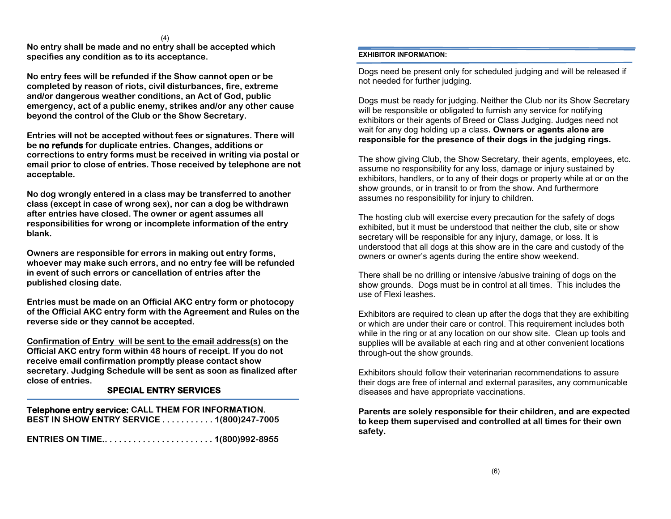(4)

**No entry shall be made and no entry shall be accepted which specifies any condition as to its acceptance.**

**No entry fees will be refunded if the Show cannot open or be completed by reason of riots, civil disturbances, fire, extreme and/or dangerous weather conditions, an Act of God, public emergency, act of a public enemy, strikes and/or any other cause beyond the control of the Club or the Show Secretary.**

**Entries will not be accepted without fees or signatures. There will be no refunds for duplicate entries. Changes, additions or corrections to entry forms must be received in writing via postal or email prior to close of entries. Those received by telephone are not acceptable.**

**No dog wrongly entered in a class may be transferred to another class (except in case of wrong sex), nor can a dog be withdrawn after entries have closed. The owner or agent assumes all responsibilities for wrong or incomplete information of the entry blank.**

**Owners are responsible for errors in making out entry forms, whoever may make such errors, and no entry fee will be refunded in event of such errors or cancellation of entries after the published closing date.**

**Entries must be made on an Official AKC entry form or photocopy of the Official AKC entry form with the Agreement and Rules on the reverse side or they cannot be accepted.**

**Confirmation of Entry will be sent to the email address(s) on the Official AKC entry form within 48 hours of receipt. If you do not receive email confirmation promptly please contact show secretary. Judging Schedule will be sent as soon as finalized after close of entries.**

# **SPECIAL ENTRY SERVICES**

 **Telephone entry service: CALL THEM FOR INFORMATION. BEST IN SHOW ENTRY SERVICE . . . . . . . . . . . 1(800)247-7005**

**ENTRIES ON TIME.. . . . . . . . . . . . . . . . . . . . . . . 1(800)992-8955** 

## **EXHIBITOR INFORMATION:**

Dogs need be present only for scheduled judging and will be released if not needed for further judging.

Dogs must be ready for judging. Neither the Club nor its Show Secretary will be responsible or obligated to furnish any service for notifying exhibitors or their agents of Breed or Class Judging. Judges need not wait for any dog holding up a class**. Owners or agents alone are responsible for the presence of their dogs in the judging rings.**

The show giving Club, the Show Secretary, their agents, employees, etc. assume no responsibility for any loss, damage or injury sustained by exhibitors, handlers, or to any of their dogs or property while at or on the show grounds, or in transit to or from the show. And furthermore assumes no responsibility for injury to children.

The hosting club will exercise every precaution for the safety of dogs exhibited, but it must be understood that neither the club, site or show secretary will be responsible for any injury, damage, or loss. It is understood that all dogs at this show are in the care and custody of the owners or owner's agents during the entire show weekend.

There shall be no drilling or intensive /abusive training of dogs on the show grounds. Dogs must be in control at all times. This includes the use of Flexi leashes.

Exhibitors are required to clean up after the dogs that they are exhibiting or which are under their care or control. This requirement includes both while in the ring or at any location on our show site. Clean up tools and supplies will be available at each ring and at other convenient locations through-out the show grounds.

Exhibitors should follow their veterinarian recommendations to assure their dogs are free of internal and external parasites, any communicable diseases and have appropriate vaccinations.

**Parents are solely responsible for their children, and are expected to keep them supervised and controlled at all times for their own safety.**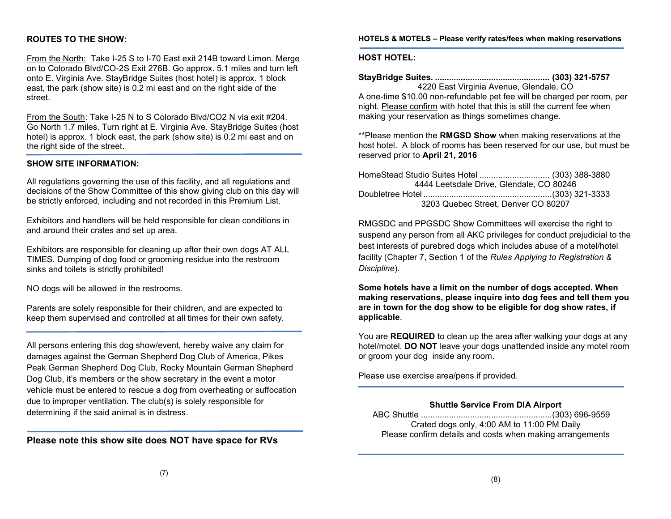### **ROUTES TO THE SHOW:**

From the North: Take I-25 S to I-70 East exit 214B toward Limon. Merge on to Colorado Blvd/CO-2S Exit 276B. Go approx. 5.1 miles and turn left onto E. Virginia Ave. StayBridge Suites (host hotel) is approx. 1 block east, the park (show site) is 0.2 mi east and on the right side of the street.

From the South: Take I-25 N to S Colorado Blvd/CO2 N via exit #204. Go North 1.7 miles. Turn right at E. Virginia Ave. StayBridge Suites (host hotel) is approx. 1 block east, the park (show site) is 0.2 mi east and on the right side of the street.

### **SHOW SITE INFORMATION:**

All regulations governing the use of this facility, and all regulations and decisions of the Show Committee of this show giving club on this day will be strictly enforced, including and not recorded in this Premium List.

Exhibitors and handlers will be held responsible for clean conditions in and around their crates and set up area.

Exhibitors are responsible for cleaning up after their own dogs AT ALL TIMES. Dumping of dog food or grooming residue into the restroom sinks and toilets is strictly prohibited!

NO dogs will be allowed in the restrooms.

Parents are solely responsible for their children, and are expected to keep them supervised and controlled at all times for their own safety.

All persons entering this dog show/event, hereby waive any claim for damages against the German Shepherd Dog Club of America, Pikes Peak German Shepherd Dog Club, Rocky Mountain German Shepherd Dog Club, it's members or the show secretary in the event a motor vehicle must be entered to rescue a dog from overheating or suffocation due to improper ventilation. The club(s) is solely responsible for determining if the said animal is in distress.

**Please note this show site does NOT have space for RVs**

### **HOTELS & MOTELS – Please verify rates/fees when making reservations**

### **HOST HOTEL:**

**StayBridge Suites. ................................................. (303) 321-5757** 4220 East Virginia Avenue, Glendale, CO A one-time \$10.00 non-refundable pet fee will be charged per room, per night. Please confirm with hotel that this is still the current fee when making your reservation as things sometimes change.

\*\*Please mention the **RMGSD Show** when making reservations at the host hotel. A block of rooms has been reserved for our use, but must be reserved prior to **April 21, 2016**

HomeStead Studio Suites Hotel .............................. (303) 388-3880 4444 Leetsdale Drive, Glendale, CO 80246 Doubletree Hotel .......................................................(303) 321-3333 3203 Quebec Street, Denver CO 80207

RMGSDC and PPGSDC Show Committees will exercise the right to suspend any person from all AKC privileges for conduct prejudicial to the best interests of purebred dogs which includes abuse of a motel/hotel facility (Chapter 7, Section 1 of the *Rules Applying to Registration & Discipline*).

**Some hotels have a limit on the number of dogs accepted. When making reservations, please inquire into dog fees and tell them you are in town for the dog show to be eligible for dog show rates, if applicable**.

You are **REQUIRED** to clean up the area after walking your dogs at any hotel/motel. **DO NOT** leave your dogs unattended inside any motel room or groom your dog inside any room.

Please use exercise area/pens if provided.

### **Shuttle Service From DIA Airport**

 ABC Shuttle ........................................................(303) 696-9559 Crated dogs only, 4:00 AM to 11:00 PM Daily Please confirm details and costs when making arrangements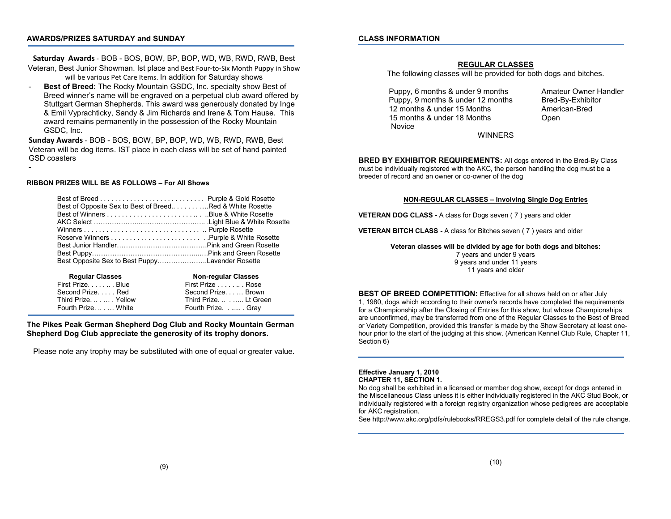### **AWARDS/PRIZES SATURDAY and SUNDAY**

### **CLASS INFORMATION**

**Saturday Awards** - BOB - BOS, BOW, BP, BOP, WD, WB, RWD, RWB, Best

Veteran, Best Junior Showman. Ist place and Best Four-to-Six Month Puppy in Show will be various Pet Care Items. In addition for Saturday shows

- **Best of Breed:** The Rocky Mountain GSDC, Inc. specialty show Best of Breed winner's name will be engraved on a perpetual club award offered by Stuttgart German Shepherds. This award was generously donated by Inge & Emil Vyprachticky, Sandy & Jim Richards and Irene & Tom Hause. This award remains permanently in the possession of the Rocky Mountain GSDC, Inc.

**Sunday Awards** - BOB - BOS, BOW, BP, BOP, WD, WB, RWD, RWB, Best Veteran will be dog items. IST place in each class will be set of hand painted GSD coasters

#### **RIBBON PRIZES WILL BE AS FOLLOWS – For All Shows**

-

| Best of Opposite Sex to Best of BreedRed & White Rosette |  |
|----------------------------------------------------------|--|
|                                                          |  |
|                                                          |  |
|                                                          |  |
|                                                          |  |
|                                                          |  |
|                                                          |  |
| Best Opposite Sex to Best PuppyLavender Rosette          |  |
|                                                          |  |

| <b>Regular Classes</b> | <b>Non-regular Classes</b> |
|------------------------|----------------------------|
| First PrizeBlue        | First Prize Rose           |
| Second Prize Red       | Second Prize Brown         |
| Third PrizeYellow      | Third Prize.  Lt Green     |
| Fourth Prize.  White   | Fourth Prize Gray          |

### **The Pikes Peak German Shepherd Dog Club and Rocky Mountain German Shepherd Dog Club appreciate the generosity of its trophy donors.**

Please note any trophy may be substituted with one of equal or greater value.

### **REGULAR CLASSES**

The following classes will be provided for both dogs and bitches.

Puppy, 6 months & under 9 months Amateur Owner Handler Puppy, 9 months & under 12 months Bred-By-Exhibitor 12 months & under 15 Months American-Bred 15 months & under 18 Months **Community** Open Novice

WINNERS

**BRED BY EXHIBITOR REQUIREMENTS:** All dogs entered in the Bred-By Class must be individually registered with the AKC, the person handling the dog must be a breeder of record and an owner or co-owner of the dog

#### **NON-REGULAR CLASSES – Involving Single Dog Entries**

**VETERAN DOG CLASS -** A class for Dogs seven ( 7 ) years and older

**VETERAN BITCH CLASS -** A class for Bitches seven ( 7 ) years and older

**Veteran classes will be divided by age for both dogs and bitches:** 7 years and under 9 years 9 years and under 11 years

11 years and older

**BEST OF BREED COMPETITION:** Effective for all shows held on or after July 1, 1980, dogs which according to their owner's records have completed the requirements for a Championship after the Closing of Entries for this show, but whose Championships are unconfirmed, may be transferred from one of the Regular Classes to the Best of Breed or Variety Competition, provided this transfer is made by the Show Secretary at least onehour prior to the start of the judging at this show. (American Kennel Club Rule, Chapter 11, Section 6)

#### **Effective January 1, 2010 CHAPTER 11, SECTION 1.**

No dog shall be exhibited in a licensed or member dog show, except for dogs entered in the Miscellaneous Class unless it is either individually registered in the AKC Stud Book, or individually registered with a foreign registry organization whose pedigrees are acceptable for AKC registration.

See http://www.akc.org/pdfs/rulebooks/RREGS3.pdf for complete detail of the rule change.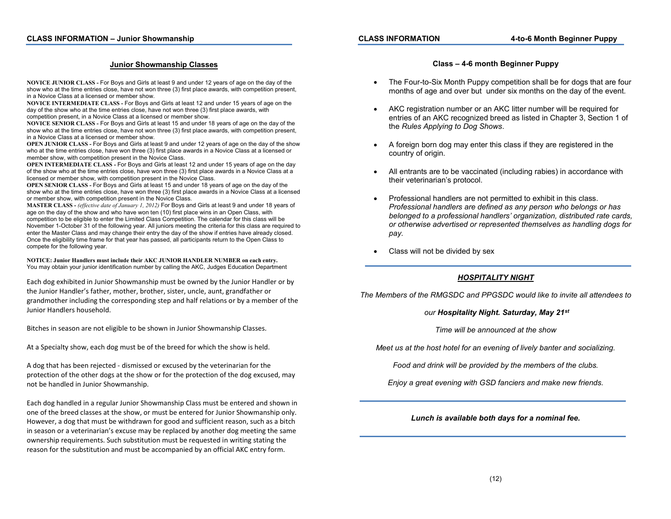### **Junior Showmanship Classes**

**NOVICE JUNIOR CLASS -** For Boys and Girls at least 9 and under 12 years of age on the day of the show who at the time entries close, have not won three (3) first place awards, with competition present, in a Novice Class at a licensed or member show.

**NOVICE INTERMEDIATE CLASS -** For Boys and Girls at least 12 and under 15 years of age on the day of the show who at the time entries close, have not won three (3) first place awards, with competition present, in a Novice Class at a licensed or member show.

**NOVICE SENIOR CLASS -** For Boys and Girls at least 15 and under 18 years of age on the day of the show who at the time entries close, have not won three (3) first place awards, with competition present, in a Novice Class at a licensed or member show.

**OPEN JUNIOR CLASS -** For Boys and Girls at least 9 and under 12 years of age on the day of the show who at the time entries close, have won three (3) first place awards in a Novice Class at a licensed or member show, with competition present in the Novice Class.

**OPEN INTERMEDIATE CLASS -** For Boys and Girls at least 12 and under 15 years of age on the day of the show who at the time entries close, have won three (3) first place awards in a Novice Class at a licensed or member show, with competition present in the Novice Class.

**OPEN SENIOR CLASS -** For Boys and Girls at least 15 and under 18 years of age on the day of the show who at the time entries close, have won three (3) first place awards in a Novice Class at a licensed or member show, with competition present in the Novice Class.

**MASTER CLASS -** *(effective date of January 1, 2012)* For Boys and Girls at least 9 and under 18 years of age on the day of the show and who have won ten (10) first place wins in an Open Class, with competition to be eligible to enter the Limited Class Competition. The calendar for this class will be November 1-October 31 of the following year. All juniors meeting the criteria for this class are required to enter the Master Class and may change their entry the day of the show if entries have already closed. Once the eligibility time frame for that year has passed, all participants return to the Open Class to compete for the following year.

**NOTICE: Junior Handlers must include their AKC JUNIOR HANDLER NUMBER on each entry.** You may obtain your junior identification number by calling the AKC, Judges Education Department

Each dog exhibited in Junior Showmanship must be owned by the Junior Handler or by the Junior Handler's father, mother, brother, sister, uncle, aunt, grandfather or grandmother including the corresponding step and half relations or by a member of the Junior Handlers household.

Bitches in season are not eligible to be shown in Junior Showmanship Classes.

At a Specialty show, each dog must be of the breed for which the show is held.

A dog that has been rejected - dismissed or excused by the veterinarian for the protection of the other dogs at the show or for the protection of the dog excused, may not be handled in Junior Showmanship.

Each dog handled in a regular Junior Showmanship Class must be entered and shown in one of the breed classes at the show, or must be entered for Junior Showmanship only. However, a dog that must be withdrawn for good and sufficient reason, such as a bitch in season or a veterinarian's excuse may be replaced by another dog meeting the same ownership requirements. Such substitution must be requested in writing stating the reason for the substitution and must be accompanied by an official AKC entry form.

### **Class – 4-6 month Beginner Puppy**

- The Four-to-Six Month Puppy competition shall be for dogs that are four months of age and over but under six months on the day of the event.
- AKC registration number or an AKC litter number will be required for entries of an AKC recognized breed as listed in Chapter 3, Section 1 of the *Rules Applying to Dog Shows*.
- A foreign born dog may enter this class if they are registered in the country of origin.
- All entrants are to be vaccinated (including rabies) in accordance with their veterinarian's protocol.
- Professional handlers are not permitted to exhibit in this class. *Professional handlers are defined as any person who belongs or has belonged to a professional handlers' organization, distributed rate cards, or otherwise advertised or represented themselves as handling dogs for pay.*
- Class will not be divided by sex

### *HOSPITALITY NIGHT*

*The Members of the RMGSDC and PPGSDC would like to invite all attendees to*

### *our Hospitality Night. Saturday, May 21st*

*Time will be announced at the show*

*Meet us at the host hotel for an evening of lively banter and socializing.*

*Food and drink will be provided by the members of the clubs.*

*Enjoy a great evening with GSD fanciers and make new friends.*

### *Lunch is available both days for a nominal fee.*